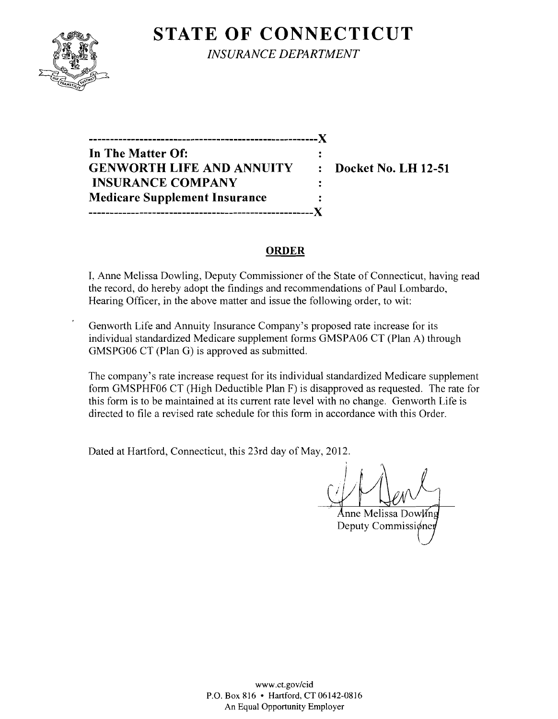

**STATE OF CONNECTICUT** *INSURANCE DEPARTMENT* 

**In The Matter Of: GENWORTH LIFE AND ANNUITY : Docket No. LH 12-51 INSURANCE COMPANY Medicare Supplement Insurance -----------------------------------------------------)(** 

**------------------------------------------------------)(** 

#### **ORDER**

 $\ddot{\cdot}$ 

I, Anne Melissa Dowling, Deputy Commissioner of the State of Connecticut, having read the record, do hereby adopt the findings and recommendations of Paul Lombardo, Hearing Officer, in the above matter and issue the following order, to wit:

Genworth Life and Annuity Insurance Company's proposed rate increase for its individual standardized Medicare supplement forms GMSPA06 CT (Plan A) through GMSPG06 CT (Plan G) is approved as submitted.

The company's rate increase request for its individual standardized Medicare supplement form GMSPHF06 CT (High Deductible Plan F) is disapproved as requested. The rate for this form is to be maintained at its current rate level with no change. Genworth Life is directed to file a revised rate schedule for this form in accordance with this Order.

Dated at Hartford, Connecticut, this 23rd day of May, 2012.

Anne Melissa Dowling Deputy Commissioner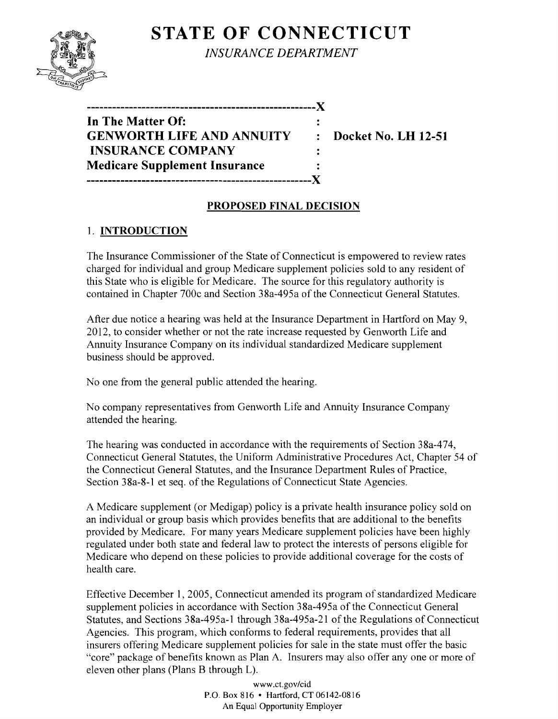# **STATE OF CONNECTICUT**



*INSURANCE DEPARTMENT* 

| ._______________________________     |           |
|--------------------------------------|-----------|
| In The Matter Of:                    |           |
| <b>GENWORTH LIFE AND ANNUITY</b>     | $\bullet$ |
| <b>INSURANCE COMPANY</b>             |           |
| <b>Medicare Supplement Insurance</b> |           |
|                                      |           |

**EDOCKET NO. LH 12-51** 

## **PROPOSED FINAL DECISION**

# 1. **INTRODUCTION**

The Insurance Commissioner of the State of Connecticut is empowered to review rates charged for individual and group Medicare supplement policies sold to any resident of this State who is eligible for Medicare. The source for this regulatory authority is contained in Chapter 700c and Section 38a-495a of the Connecticut General Statutes.

After due notice a hearing was held at the Insurance Department in Hartford on May 9, 2012, to consider whether or not the rate increase requested by Genworth Life and Annuity Insurance Company on its individual standardized Medicare supplement business should be approved.

No one from the general public attended the hearing.

No company representatives from Genworth Life and Annuity Insurance Company attended the hearing.

The hearing was conducted in accordance with the requirements of Section 38a-474, Connecticut General Statutes, the Uniform Administrative Procedures Act, Chapter 54 of the Connecticut General Statutes, and the Insurance Department Rules of Practice, Section 38a-8-1 et seq. of the Regulations of Connecticut State Agencies.

A Medicare supplement (or Medigap) policy is a private health insurance policy sold on an individual or group basis which provides benefits that are additional to the benefits provided by Medicare. For many years Medicare supplement policies have been highly regulated under both state and federal law to protect the interests of persons eligible for Medicare who depend on these policies to provide additional coverage for the costs of health care.

Effective December 1, 2005, Connecticut amended its program of standardized Medicare supplement policies in accordance with Section 38a-495a of the Connecticut General Statutes, and Sections 38a-495a-1 through 38a-495a-21 of the Regulations of Connecticut Agencies. This program, which conforms to federal requirements, provides that all insurers offering Medicare supplement policies for sale in the state must offer the basic "core" package of benefits known as Plan A. Insurers may also offer anyone or more of eleven other plans (Plans B through L).

> www.ct.gov/cid P.O. Box 816 • Hartford, CT 06142-0816 An Equal Opportunity Employer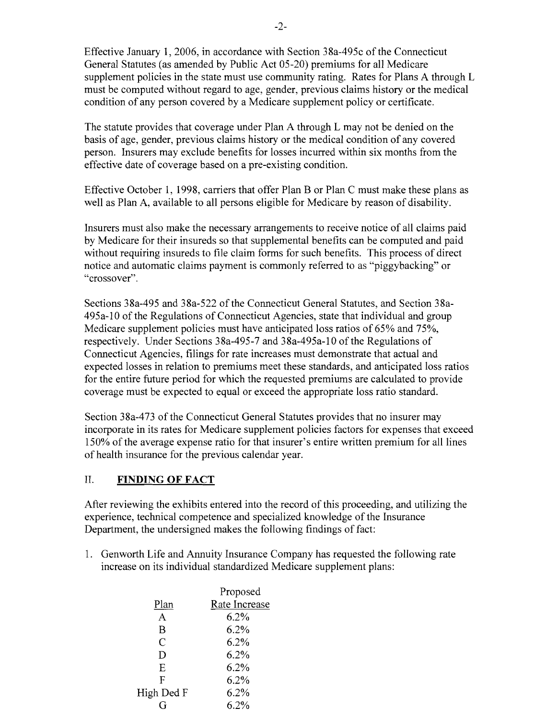Effective January 1,2006, in accordance with Section 38a-495c of the Connecticut General Statutes (as amended by Public Act 05-20) premiums for all Medicare supplement policies in the state must use community rating. Rates for Plans A through L must be computed without regard to age, gender, previous claims history or the medical condition of any person covered by a Medicare supplement policy or certificate.

The statute provides that coverage under Plan A through L may not be denied on the basis of age, gender, previous claims history or the medical condition of any covered person. Insurers may exclude benefits for losses incurred within six months from the effective date of coverage based on a pre-existing condition.

Effective October 1, 1998, carriers that offer Plan B or Plan C must make these plans as well as Plan A, available to all persons eligible for Medicare by reason of disability.

Insurers must also make the necessary arrangements to receive notice of all claims paid by Medicare for their insureds so that supplemental benefits can be computed and paid without requiring insureds to file claim forms for such benefits. This process of direct notice and automatic claims payment is commonly referred to as "piggybacking" or "crossover".

Sections 38a-495 and 38a-522 of the Connecticut General Statutes, and Section 38a-495a-10 of the Regulations of Connecticut Agencies, state that individual and group Medicare supplement policies must have anticipated loss ratios of 65% and 75%, respectively. Under Sections 38a-495-7 and 38a-495a-10 of the Regulations of Connecticut Agencies, filings for rate increases must demonstrate that actual and expected losses in relation to premiums meet these standards, and anticipated loss ratios for the entire future period for which the requested premiums are calculated to provide coverage must be expected to equal or exceed the appropriate loss ratio standard.

Section 38a-473 of the Connecticut General Statutes provides that no insurer may incorporate in its rates for Medicare supplement policies factors for expenses that exceed 150% of the average expense ratio for that insurer's entire written premium for all lines of health insurance for the previous calendar year.

### II. **FINDING OF FACT**

After reviewing the exhibits entered into the record of this proceeding, and utilizing the experience, technical competence and specialized knowledge of the Insurance Department, the undersigned makes the following findings of fact:

1. Genworth Life and Annuity Insurance Company has requested the following rate increase on its individual standardized Medicare supplement plans:

|                | Proposed      |
|----------------|---------------|
| Plan           | Rate Increase |
| A              | 6.2%          |
| B              | 6.2%          |
| $\overline{C}$ | 6.2%          |
| D              | 6.2%          |
| Ε              | 6.2%          |
| F              | 6.2%          |
| High Ded F     | 6.2%          |
|                | 6.2%          |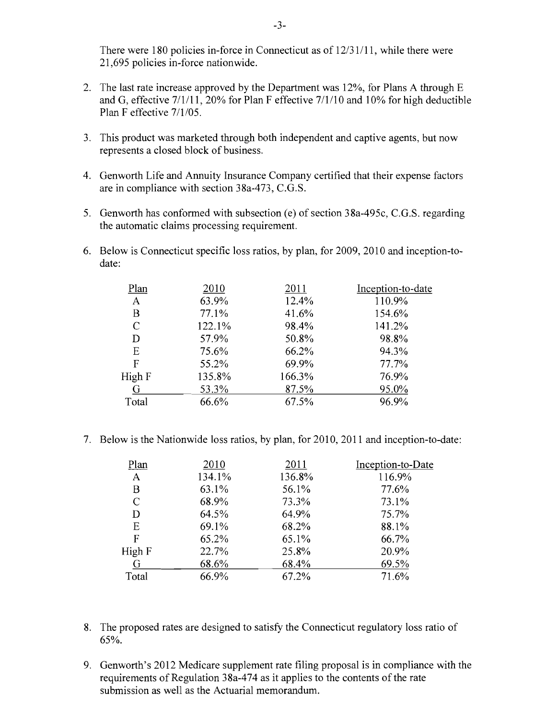There were 180 policies in-force in Connecticut as of 12/31/11, while there were 21,695 policies in-force nationwide.

- 2. The last rate increase approved by the Department was 12%, for Plans A through E and G, effective 7/1/11, 20% for Plan F effective 7/1/10 and 10% for high deductible Plan F effective 7/1/05.
- 3. This product was marketed through both independent and captive agents, but now represents a closed block of business.
- 4. Genworth Life and Annuity Insurance Company certified that their expense factors are in compliance with section 38a-473, C.G.S.
- 5. Genworth has conformed with subsection (e) of section 38a-495c, C.G.S. regarding the automatic claims processing requirement.
- 6. Below is Connecticut specific loss ratios, by plan, for 2009, 2010 and inception-todate:

| Plan          | 2010   | 2011   | Inception-to-date |
|---------------|--------|--------|-------------------|
| A             | 63.9%  | 12.4%  | 110.9%            |
| B             | 77.1%  | 41.6%  | 154.6%            |
| $\mathcal{C}$ | 122.1% | 98.4%  | 141.2%            |
| D             | 57.9%  | 50.8%  | 98.8%             |
| Ε             | 75.6%  | 66.2%  | 94.3%             |
| F             | 55.2%  | 69.9%  | 77.7%             |
| High F        | 135.8% | 166.3% | 76.9%             |
| G             | 53.3%  | 87.5%  | 95.0%             |
| Total         | 66.6%  | 67.5%  | 96.9%             |
|               |        |        |                   |

7. Below is the Nationwide loss ratios, by plan, for 2010, 2011 and inception-to-date:

| Plan         | 2010   | 2011   | Inception-to-Date |
|--------------|--------|--------|-------------------|
| A            | 134.1% | 136.8% | 116.9%            |
| B            | 63.1%  | 56.1%  | 77.6%             |
| $\mathsf{C}$ | 68.9%  | 73.3%  | 73.1%             |
| D            | 64.5%  | 64.9%  | 75.7%             |
| E            | 69.1%  | 68.2%  | 88.1%             |
| F            | 65.2%  | 65.1%  | 66.7%             |
| High F       | 22.7%  | 25.8%  | 20.9%             |
| G            | 68.6%  | 68.4%  | 69.5%             |
| Total        | 66.9%  | 67.2%  | 71.6%             |

- 8. The proposed rates are designed to satisfy the Connecticut regulatory loss ratio of 65%.
- 9. Genworth's 2012 Medicare supplement rate filing proposal is in compliance with the requirements of Regulation 38a-474 as it applies to the contents of the rate submission as well as the Actuarial memorandum.